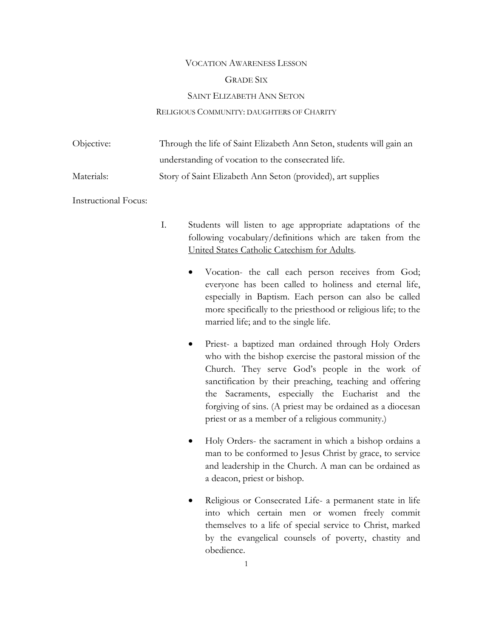## VOCATION AWARENESS LESSON GRADE SIX SAINT ELIZABETH ANN SETON RELIGIOUS COMMUNITY: DAUGHTERS OF CHARITY

| Objective: | Through the life of Saint Elizabeth Ann Seton, students will gain an |
|------------|----------------------------------------------------------------------|
|            | understanding of vocation to the consecrated life.                   |
| Materials: | Story of Saint Elizabeth Ann Seton (provided), art supplies          |

Instructional Focus:

- I. Students will listen to age appropriate adaptations of the following vocabulary/definitions which are taken from the United States Catholic Catechism for Adults.
	- Vocation- the call each person receives from God; everyone has been called to holiness and eternal life, especially in Baptism. Each person can also be called more specifically to the priesthood or religious life; to the married life; and to the single life.
	- Priest- a baptized man ordained through Holy Orders who with the bishop exercise the pastoral mission of the Church. They serve God's people in the work of sanctification by their preaching, teaching and offering the Sacraments, especially the Eucharist and the forgiving of sins. (A priest may be ordained as a diocesan priest or as a member of a religious community.)
	- Holy Orders- the sacrament in which a bishop ordains a man to be conformed to Jesus Christ by grace, to service and leadership in the Church. A man can be ordained as a deacon, priest or bishop.
	- Religious or Consecrated Life- a permanent state in life into which certain men or women freely commit themselves to a life of special service to Christ, marked by the evangelical counsels of poverty, chastity and obedience.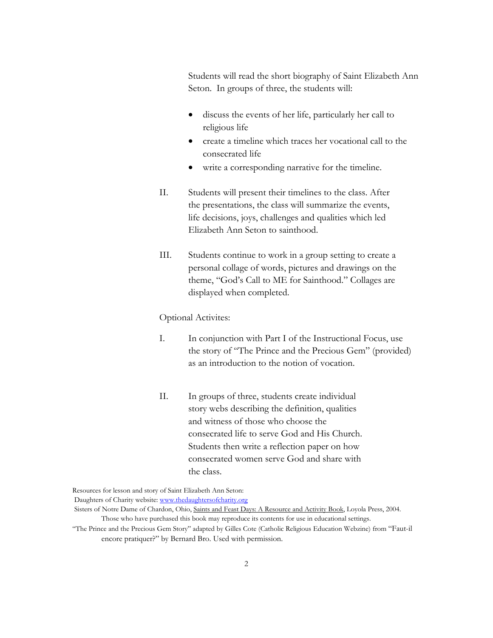Students will read the short biography of Saint Elizabeth Ann Seton. In groups of three, the students will:

- discuss the events of her life, particularly her call to religious life
- create a timeline which traces her vocational call to the consecrated life
- write a corresponding narrative for the timeline.
- II. Students will present their timelines to the class. After the presentations, the class will summarize the events, life decisions, joys, challenges and qualities which led Elizabeth Ann Seton to sainthood.
- III. Students continue to work in a group setting to create a personal collage of words, pictures and drawings on the theme, "God's Call to ME for Sainthood." Collages are displayed when completed.

Optional Activites:

- I. In conjunction with Part I of the Instructional Focus, use the story of "The Prince and the Precious Gem" (provided) as an introduction to the notion of vocation.
- II. In groups of three, students create individual story webs describing the definition, qualities and witness of those who choose the consecrated life to serve God and His Church. Students then write a reflection paper on how consecrated women serve God and share with the class.

Resources for lesson and story of Saint Elizabeth Ann Seton:

Daughters of Charity website: www.thedaughtersofcharity.org

"The Prince and the Precious Gem Story" adapted by Gilles Cote (Catholic Religious Education Webzine) from "Faut-il encore pratiquer?" by Bernard Bro. Used with permission.

Sisters of Notre Dame of Chardon, Ohio, Saints and Feast Days: A Resource and Activity Book, Loyola Press, 2004. Those who have purchased this book may reproduce its contents for use in educational settings.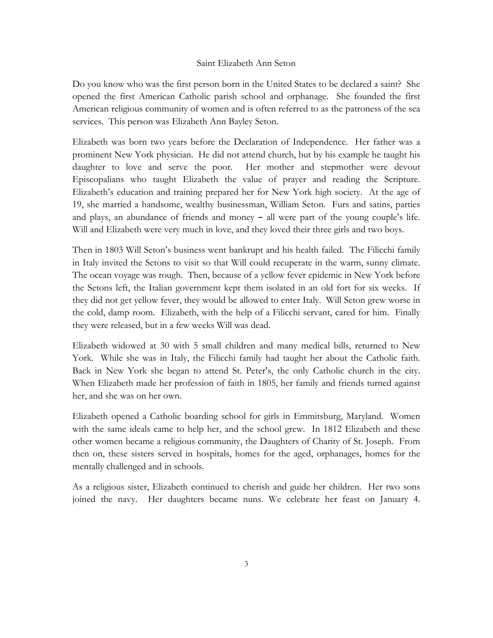## Saint Elizabeth Ann Seton

Do you know who was the first person born in the United States to be declared a saint? She opened the first American Catholic parish school and orphanage. She founded the first American religious community of women and is often referred to as the patroness of the sea services. This person was Elizabeth Ann Bayley Seton.

Elizabeth was born two years before the Declaration of Independence. Her father was a prominent New York physician. He did not attend church, but by his example he taught his daughter to love and serve the poor. Her mother and stepmother were devout Episcopalians who taught Elizabeth the value of prayer and reading the Scripture. Elizabeth's education and training prepared her for New York high society. At the age of 19, she married a handsome, wealthy businessman, William Seton. Furs and satins, parties and plays, an abundance of friends and money  $-$  all were part of the young couple's life. Will and Elizabeth were very much in love, and they loved their three girls and two boys.

Then in 1803 Will Seton's business went bankrupt and his health failed. The Filicchi family in Italy invited the Setons to visit so that Will could recuperate in the warm, sunny climate. The ocean voyage was rough. Then, because of a yellow fever epidemic in New York before the Setons left, the Italian government kept them isolated in an old fort for six weeks. If they did not get yellow fever, they would be allowed to enter Italy. Will Seton grew worse in the cold, damp room. Elizabeth, with the help of a Filicchi servant, cared for him. Finally they were released, but in a few weeks Will was dead.

Elizabeth widowed at 30 with 5 small children and many medical bills, returned to New York. While she was in Italy, the Filicchi family had taught her about the Catholic faith. Back in New York she began to attend St. Peter's, the only Catholic church in the city. When Elizabeth made her profession of faith in 1805, her family and friends turned against her, and she was on her own.

Elizabeth opened a Catholic boarding school for girls in Emmitsburg, Maryland. Women with the same ideals came to help her, and the school grew. In 1812 Elizabeth and these other women became a religious community, the Daughters of Charity of St. Joseph. From then on, these sisters served in hospitals, homes for the aged, orphanages, homes for the mentally challenged and in schools.

As a religious sister, Elizabeth continued to cherish and guide her children. Her two sons joined the navy. Her daughters became nuns. We celebrate her feast on January 4.